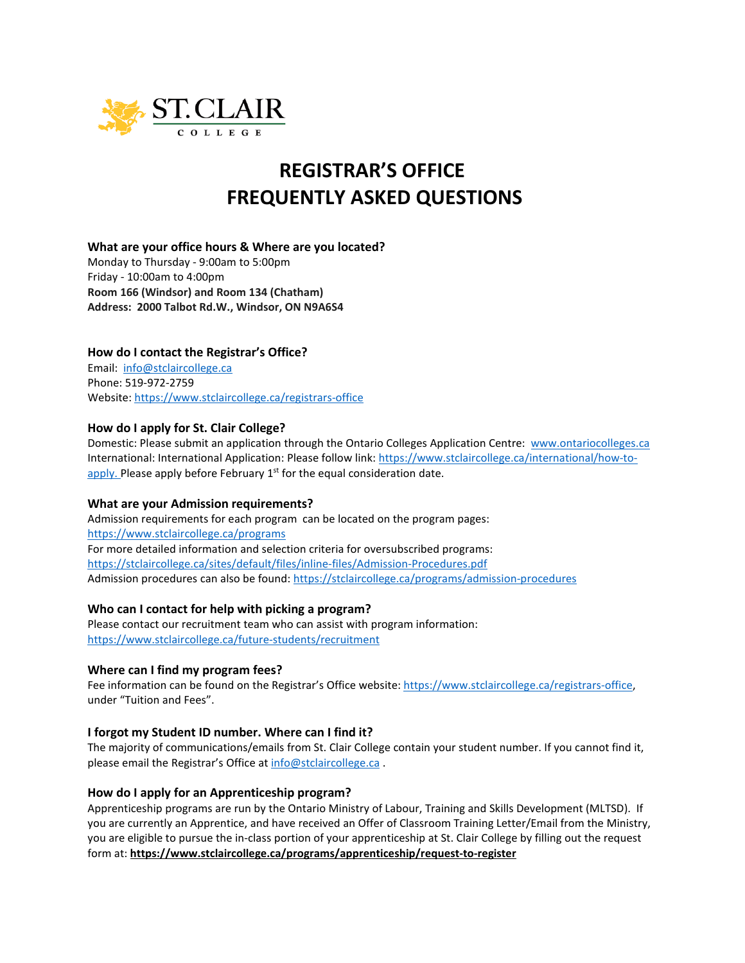

# **REGISTRAR'S OFFICE FREQUENTLY ASKED QUESTIONS**

# **What are your office hours & Where are you located?**

Monday to Thursday - 9:00am to 5:00pm Friday - 10:00am to 4:00pm **Room 166 (Windsor) and Room 134 (Chatham) Address: 2000 Talbot Rd.W., Windsor, ON N9A6S4**

# **How do I contact the Registrar's Office?**

Email: [info@stclaircollege.ca](mailto:info@stclaircollege.ca) Phone: 519-972-2759 Website[: https://www.stclaircollege.ca/registrars-office](https://www.stclaircollege.ca/registrars-office)

# **How do I apply for St. Clair College?**

Domestic: Please submit an application through the Ontario Colleges Application Centre: [www.ontariocolleges.ca](http://www.ontariocolleges.ca/) International: International Application: Please follow link: [https://www.stclaircollege.ca/international/how-to](https://www.stclaircollege.ca/international/how-to-apply)[apply.](https://www.stclaircollege.ca/international/how-to-apply) Please apply before February  $1<sup>st</sup>$  for the equal consideration date.

# **What are your Admission requirements?**

Admission requirements for each program can be located on the program pages: <https://www.stclaircollege.ca/programs> For more detailed information and selection criteria for oversubscribed programs: <https://stclaircollege.ca/sites/default/files/inline-files/Admission-Procedures.pdf> Admission procedures can also be found:<https://stclaircollege.ca/programs/admission-procedures>

# **Who can I contact for help with picking a program?**

Please contact our recruitment team who can assist with program information: <https://www.stclaircollege.ca/future-students/recruitment>

# **Where can I find my program fees?**

Fee information can be found on the Registrar's Office website: [https://www.stclaircollege.ca/registrars-office,](https://www.stclaircollege.ca/registrars-office) under "Tuition and Fees".

# **I forgot my Student ID number. Where can I find it?**

The majority of communications/emails from St. Clair College contain your student number. If you cannot find it, please email the Registrar's Office at [info@stclaircollege.ca](mailto:info@stclaircollege.ca).

# **How do I apply for an Apprenticeship program?**

Apprenticeship programs are run by the Ontario Ministry of Labour, Training and Skills Development (MLTSD). If you are currently an Apprentice, and have received an Offer of Classroom Training Letter/Email from the Ministry, you are eligible to pursue the in-class portion of your apprenticeship at St. Clair College by filling out the request form at: **<https://www.stclaircollege.ca/programs/apprenticeship/request-to-register>**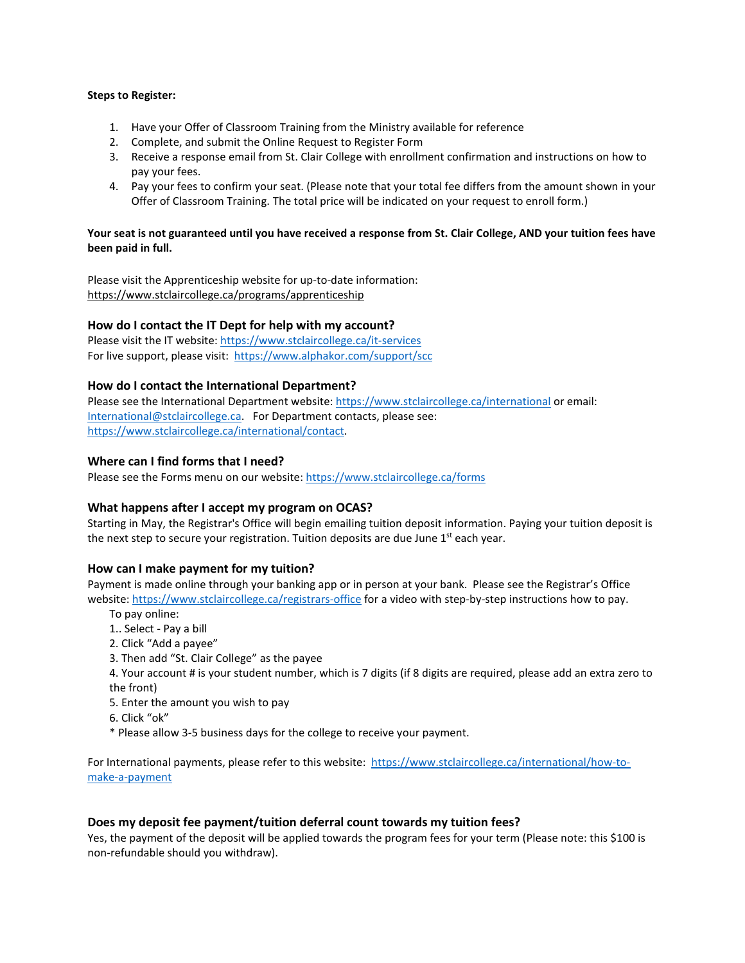#### **Steps to Register:**

- 1. Have your Offer of Classroom Training from the Ministry available for reference
- 2. Complete, and submit the Online Request to Register Form
- 3. Receive a response email from St. Clair College with enrollment confirmation and instructions on how to pay your fees.
- 4. Pay your fees to confirm your seat. (Please note that your total fee differs from the amount shown in your Offer of Classroom Training. The total price will be indicated on your request to enroll form.)

#### **Your seat is not guaranteed until you have received a response from St. Clair College, AND your tuition fees have been paid in full.**

Please visit the Apprenticeship website for up-to-date information: <https://www.stclaircollege.ca/programs/apprenticeship>

# **How do I contact the IT Dept for help with my account?**

Please visit the IT website:<https://www.stclaircollege.ca/it-services> For live support, please visit:<https://www.alphakor.com/support/scc>

# **How do I contact the International Department?**

Please see the International Department website:<https://www.stclaircollege.ca/international> or email: [International@stclaircollege.ca.](mailto:International@stclaircollege.ca) For Department contacts, please see: [https://www.stclaircollege.ca/international/contact.](https://www.stclaircollege.ca/international/contact)

# **Where can I find forms that I need?**

Please see the Forms menu on our website[: https://www.stclaircollege.ca/forms](https://www.stclaircollege.ca/forms)

# **What happens after I accept my program on OCAS?**

Starting in May, the Registrar's Office will begin emailing tuition deposit information. Paying your tuition deposit is the next step to secure your registration. Tuition deposits are due June  $1<sup>st</sup>$  each year.

# **How can I make payment for my tuition?**

Payment is made online through your banking app or in person at your bank. Please see the Registrar's Office website:<https://www.stclaircollege.ca/registrars-office> for a video with step-by-step instructions how to pay.

- To pay online:
- 1.. Select Pay a bill
- 2. Click "Add a payee"
- 3. Then add "St. Clair College" as the payee
- 4. Your account # is your student number, which is 7 digits (if 8 digits are required, please add an extra zero to the front)
- 5. Enter the amount you wish to pay
- 6. Click "ok"
- \* Please allow 3-5 business days for the college to receive your payment.

For International payments, please refer to this website: [https://www.stclaircollege.ca/international/how-to](https://www.stclaircollege.ca/international/how-to-make-a-payment)[make-a-payment](https://www.stclaircollege.ca/international/how-to-make-a-payment)

# **Does my deposit fee payment/tuition deferral count towards my tuition fees?**

Yes, the payment of the deposit will be applied towards the program fees for your term (Please note: this \$100 is non-refundable should you withdraw).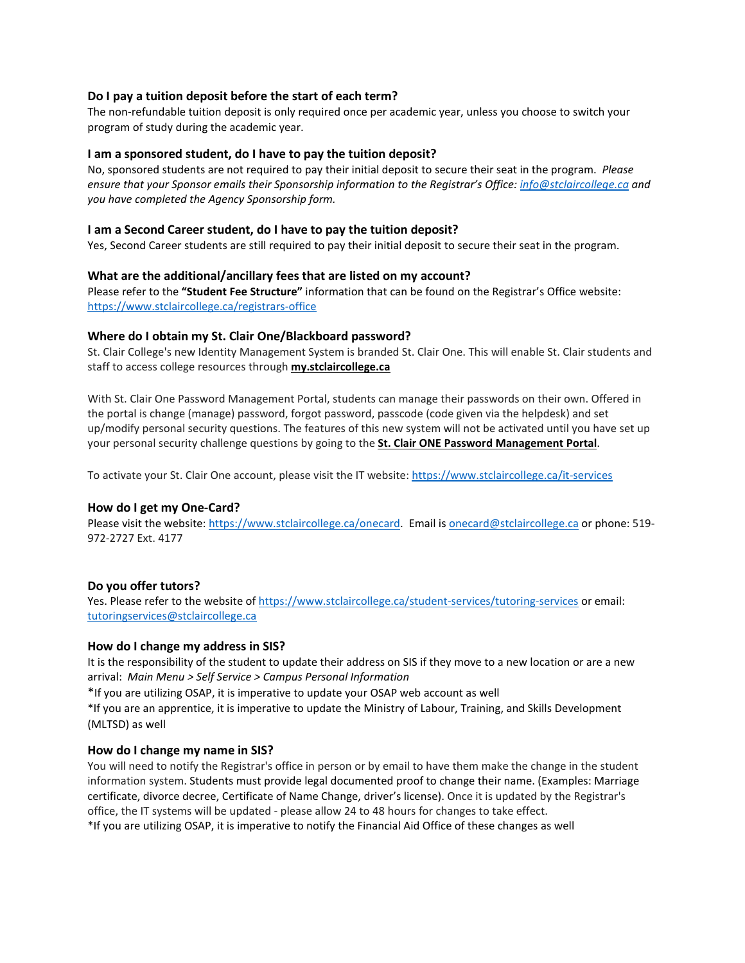# **Do I pay a tuition deposit before the start of each term?**

The non-refundable tuition deposit is only required once per academic year, unless you choose to switch your program of study during the academic year.

#### **I am a sponsored student, do I have to pay the tuition deposit?**

No, sponsored students are not required to pay their initial deposit to secure their seat in the program. *Please ensure that your Sponsor emails their Sponsorship information to the Registrar's Office[: info@stclaircollege.ca](mailto:info@stclaircollege.ca) and you have completed the Agency Sponsorship form.*

#### **I am a Second Career student, do I have to pay the tuition deposit?**

Yes, Second Career students are still required to pay their initial deposit to secure their seat in the program.

#### **What are the additional/ancillary fees that are listed on my account?**

Please refer to the **"Student Fee Structure"** information that can be found on the Registrar's Office website: <https://www.stclaircollege.ca/registrars-office>

#### **Where do I obtain my St. Clair One/Blackboard password?**

St. Clair College's new Identity Management System is branded St. Clair One. This will enable St. Clair students and staff to access college resources through **[my.stclaircollege.ca](https://my.stclaircollege.ca/)**

With St. Clair One Password Management Portal, students can manage their passwords on their own. Offered in the portal is change (manage) password, forgot password, passcode (code given via the helpdesk) and set up/modify personal security questions. The features of this new system will not be activated until you have set up your personal security challenge questions by going to the **[St. Clair ONE Password Management Portal](https://myone.stclaircollege.ca/pmuser)**.

To activate your St. Clair One account, please visit the IT website[: https://www.stclaircollege.ca/it-services](https://www.stclaircollege.ca/it-services)

# **How do I get my One-Card?**

Please visit the website[: https://www.stclaircollege.ca/onecard.](https://www.stclaircollege.ca/onecard) Email is [onecard@stclaircollege.ca](mailto:onecard@stclaircollege.ca) or phone: 519- 972-2727 Ext. 4177

# **Do you offer tutors?**

Yes. Please refer to the website o[f https://www.stclaircollege.ca/student-services/tutoring-services](https://www.stclaircollege.ca/student-services/tutoring-services) or email: [tutoringservices@stclaircollege.ca](mailto:tutoringservices@stclaircollege.ca)

#### **How do I change my address in SIS?**

It is the responsibility of the student to update their address on SIS if they move to a new location or are a new arrival: *Main Menu > Self Service > Campus Personal Information*

\*If you are utilizing OSAP, it is imperative to update your OSAP web account as well

\*If you are an apprentice, it is imperative to update the Ministry of Labour, Training, and Skills Development (MLTSD) as well

#### **How do I change my name in SIS?**

You will need to notify the Registrar's office in person or by email to have them make the change in the student information system. Students must provide legal documented proof to change their name. (Examples: Marriage certificate, divorce decree, Certificate of Name Change, driver's license). Once it is updated by the Registrar's office, the IT systems will be updated - please allow 24 to 48 hours for changes to take effect.

\*If you are utilizing OSAP, it is imperative to notify the Financial Aid Office of these changes as well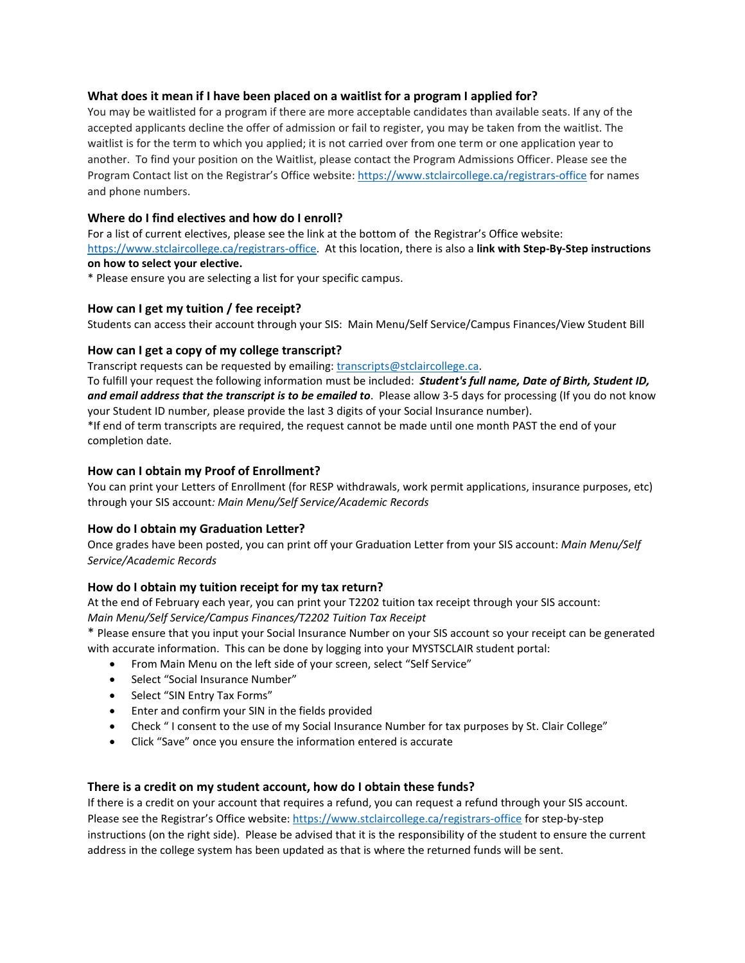# **What does it mean if I have been placed on a waitlist for a program I applied for?**

You may be waitlisted for a program if there are more acceptable candidates than available seats. If any of the accepted applicants decline the offer of admission or fail to register, you may be taken from the waitlist. The waitlist is for the term to which you applied; it is not carried over from one term or one application year to another. To find your position on the Waitlist, please contact the Program Admissions Officer. Please see the Program Contact list on the Registrar's Office website:<https://www.stclaircollege.ca/registrars-office> for names and phone numbers.

# **Where do I find electives and how do I enroll?**

For a list of current electives, please see the link at the bottom of the Registrar's Office website: [https://www.stclaircollege.ca/registrars-office.](https://www.stclaircollege.ca/registrars-office) At this location, there is also a **link with Step-By-Step instructions on how to select your elective.**

\* Please ensure you are selecting a list for your specific campus.

# **How can I get my tuition / fee receipt?**

Students can access their account through your SIS: Main Menu/Self Service/Campus Finances/View Student Bill

# **How can I get a copy of my college transcript?**

Transcript requests can be requested by emailing: [transcripts@stclaircollege.ca.](mailto:transcripts@stclaircollege.ca)

To fulfill your request the following information must be included: *Student's full name, Date of Birth, Student ID, and email address that the transcript is to be emailed to*. Please allow 3-5 days for processing (If you do not know your Student ID number, please provide the last 3 digits of your Social Insurance number).

\*If end of term transcripts are required, the request cannot be made until one month PAST the end of your completion date.

# **How can I obtain my Proof of Enrollment?**

You can print your Letters of Enrollment (for RESP withdrawals, work permit applications, insurance purposes, etc) through your SIS account*: Main Menu/Self Service/Academic Records*

# **How do I obtain my Graduation Letter?**

Once grades have been posted, you can print off your Graduation Letter from your SIS account: *Main Menu/Self Service/Academic Records*

# **How do I obtain my tuition receipt for my tax return?**

At the end of February each year, you can print your T2202 tuition tax receipt through your SIS account: *Main Menu/Self Service/Campus Finances/T2202 Tuition Tax Receipt*

\* Please ensure that you input your Social Insurance Number on your SIS account so your receipt can be generated with accurate information. This can be done by logging into your MYSTSCLAIR student portal:

- From Main Menu on the left side of your screen, select "Self Service"
- Select "Social Insurance Number"
- Select "SIN Entry Tax Forms"
- Enter and confirm your SIN in the fields provided
- Check " I consent to the use of my Social Insurance Number for tax purposes by St. Clair College"
- Click "Save" once you ensure the information entered is accurate

# **There is a credit on my student account, how do I obtain these funds?**

If there is a credit on your account that requires a refund, you can request a refund through your SIS account. Please see the Registrar's Office website:<https://www.stclaircollege.ca/registrars-office> for step-by-step instructions (on the right side). Please be advised that it is the responsibility of the student to ensure the current address in the college system has been updated as that is where the returned funds will be sent.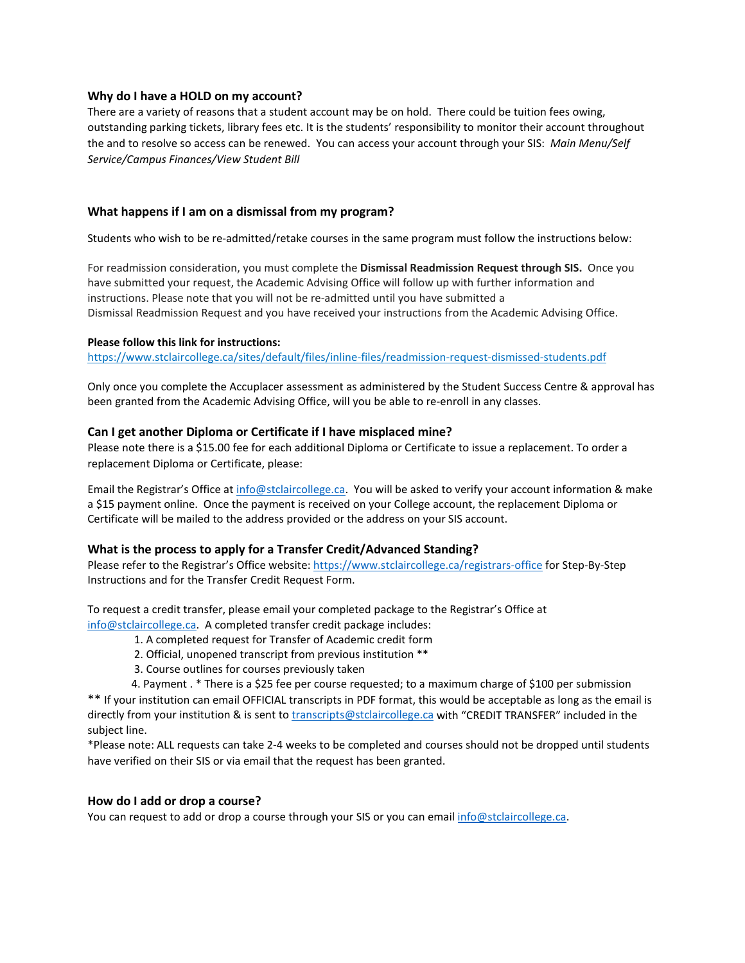# **Why do I have a HOLD on my account?**

There are a variety of reasons that a student account may be on hold. There could be tuition fees owing, outstanding parking tickets, library fees etc. It is the students' responsibility to monitor their account throughout the and to resolve so access can be renewed. You can access your account through your SIS: *Main Menu/Self Service/Campus Finances/View Student Bill*

# **What happens if I am on a dismissal from my program?**

Students who wish to be re-admitted/retake courses in the same program must follow the instructions below:

For readmission consideration, you must complete the **Dismissal Readmission Request through SIS.** Once you have submitted your request, the Academic Advising Office will follow up with further information and instructions. Please note that you will not be re-admitted until you have submitted a Dismissal Readmission Request and you have received your instructions from the Academic Advising Office.

#### **Please follow this link for instructions:**

<https://www.stclaircollege.ca/sites/default/files/inline-files/readmission-request-dismissed-students.pdf>

Only once you complete the Accuplacer assessment as administered by the Student Success Centre & approval has been granted from the Academic Advising Office, will you be able to re-enroll in any classes.

#### **Can I get another Diploma or Certificate if I have misplaced mine?**

Please note there is a \$15.00 fee for each additional Diploma or Certificate to issue a replacement. To order a replacement Diploma or Certificate, please:

Email the Registrar's Office at [info@stclaircollege.ca.](mailto:info@stclaircollege.ca) You will be asked to verify your account information & make a \$15 payment online. Once the payment is received on your College account, the replacement Diploma or Certificate will be mailed to the address provided or the address on your SIS account.

#### **What is the process to apply for a Transfer Credit/Advanced Standing?**

Please refer to the Registrar's Office website:<https://www.stclaircollege.ca/registrars-office> for Step-By-Step Instructions and for the Transfer Credit Request Form.

To request a credit transfer, please email your completed package to the Registrar's Office at [info@stclaircollege.ca.](mailto:info@stclaircollege.ca) A completed transfer credit package includes:

- 1. A completed request for Transfer of Academic credit form
- 2. Official, unopened transcript from previous institution \*\*
- 3. Course outlines for courses previously taken

4. Payment . \* There is a \$25 fee per course requested; to a maximum charge of \$100 per submission \*\* If your institution can email OFFICIAL transcripts in PDF format, this would be acceptable as long as the email is directly from your institution & is sent to [transcripts@stclaircollege.ca](mailto:transcripts@stclaircollege.ca) with "CREDIT TRANSFER" included in the

subject line.

\*Please note: ALL requests can take 2-4 weeks to be completed and courses should not be dropped until students have verified on their SIS or via email that the request has been granted.

#### **How do I add or drop a course?**

You can request to add or drop a course through your SIS or you can email [info@stclaircollege.ca.](mailto:info@stclaircollege.ca)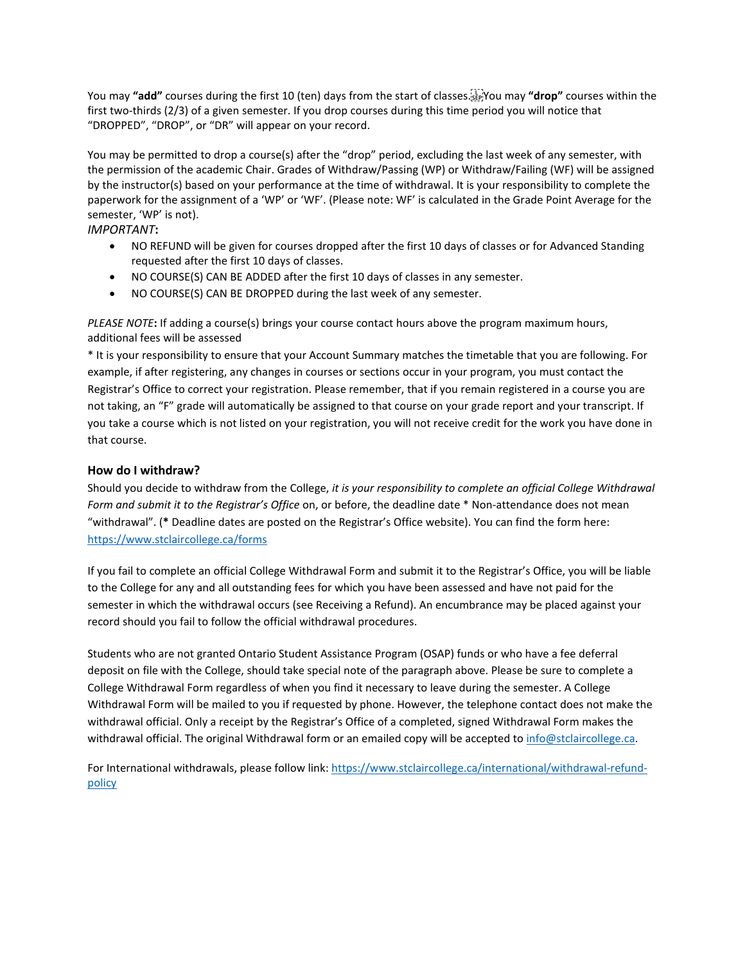You may **"add"** courses during the first 10 (ten) days from the start of classes. You may **"drop"** courses within the first two-thirds (2/3) of a given semester. If you drop courses during this time period you will notice that "DROPPED", "DROP", or "DR" will appear on your record.

You may be permitted to drop a course(s) after the "drop" period, excluding the last week of any semester, with the permission of the academic Chair. Grades of Withdraw/Passing (WP) or Withdraw/Failing (WF) will be assigned by the instructor(s) based on your performance at the time of withdrawal. It is your responsibility to complete the paperwork for the assignment of a 'WP' or 'WF'. (Please note: WF' is calculated in the Grade Point Average for the semester, 'WP' is not).

# *IMPORTANT***:**

- NO REFUND will be given for courses dropped after the first 10 days of classes or for Advanced Standing requested after the first 10 days of classes.
- NO COURSE(S) CAN BE ADDED after the first 10 days of classes in any semester.
- NO COURSE(S) CAN BE DROPPED during the last week of any semester.

*PLEASE NOTE***:** If adding a course(s) brings your course contact hours above the program maximum hours, additional fees will be assessed

\* It is your responsibility to ensure that your Account Summary matches the timetable that you are following. For example, if after registering, any changes in courses or sections occur in your program, you must contact the Registrar's Office to correct your registration. Please remember, that if you remain registered in a course you are not taking, an "F" grade will automatically be assigned to that course on your grade report and your transcript. If you take a course which is not listed on your registration, you will not receive credit for the work you have done in that course.

# **How do I withdraw?**

Should you decide to withdraw from the College, *it is your responsibility to complete an official College Withdrawal Form and submit it to the Registrar's Office* on, or before, the deadline date \* Non-attendance does not mean "withdrawal". (**\*** Deadline dates are posted on the Registrar's Office website). You can find the form here: <https://www.stclaircollege.ca/forms>

If you fail to complete an official College Withdrawal Form and submit it to the Registrar's Office, you will be liable to the College for any and all outstanding fees for which you have been assessed and have not paid for the semester in which the withdrawal occurs (see Receiving a Refund). An encumbrance may be placed against your record should you fail to follow the official withdrawal procedures.

Students who are not granted Ontario Student Assistance Program (OSAP) funds or who have a fee deferral deposit on file with the College, should take special note of the paragraph above. Please be sure to complete a College Withdrawal Form regardless of when you find it necessary to leave during the semester. A College Withdrawal Form will be mailed to you if requested by phone. However, the telephone contact does not make the withdrawal official. Only a receipt by the Registrar's Office of a completed, signed Withdrawal Form makes the withdrawal official. The original Withdrawal form or an emailed copy will be accepted t[o info@stclaircollege.ca.](mailto:info@stclaircollege.ca)

For International withdrawals, please follow link[: https://www.stclaircollege.ca/international/withdrawal-refund](https://www.stclaircollege.ca/international/withdrawal-refund-policy)[policy](https://www.stclaircollege.ca/international/withdrawal-refund-policy)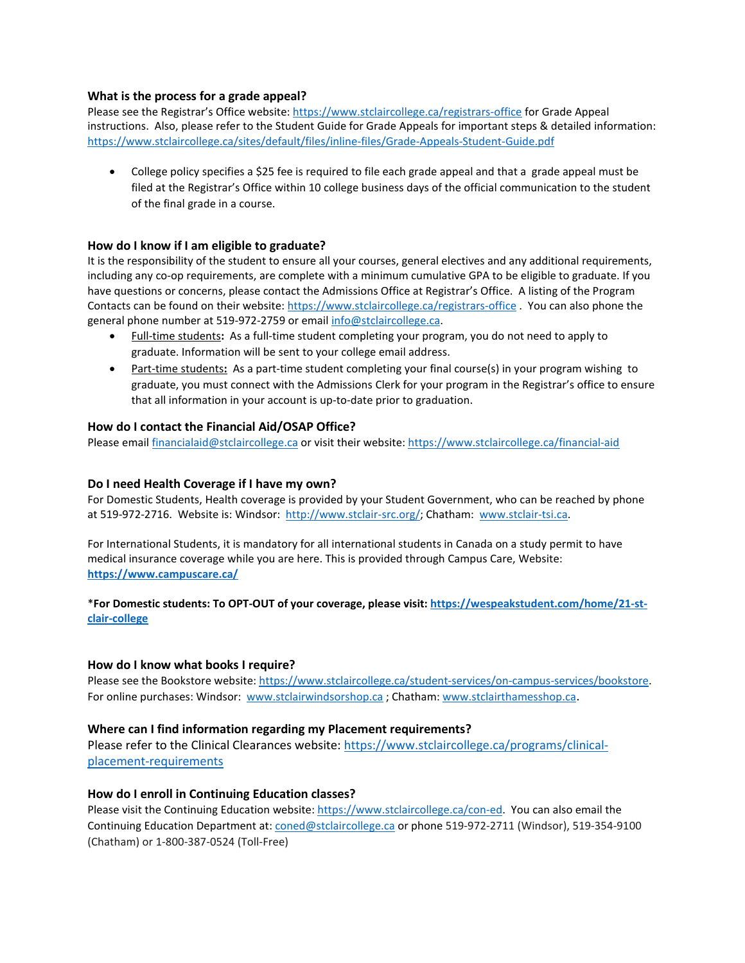# **What is the process for a grade appeal?**

Please see the Registrar's Office website:<https://www.stclaircollege.ca/registrars-office> for Grade Appeal instructions. Also, please refer to the Student Guide for Grade Appeals for important steps & detailed information: <https://www.stclaircollege.ca/sites/default/files/inline-files/Grade-Appeals-Student-Guide.pdf>

• College policy specifies a \$25 fee is required to file each grade appeal and that a grade appeal must be filed at the Registrar's Office within 10 college business days of the official communication to the student of the final grade in a course.

# **How do I know if I am eligible to graduate?**

It is the responsibility of the student to ensure all your courses, general electives and any additional requirements, including any co-op requirements, are complete with a minimum cumulative GPA to be eligible to graduate. If you have questions or concerns, please contact the Admissions Office at Registrar's Office. A listing of the Program Contacts can be found on their website[: https://www.stclaircollege.ca/registrars-office](https://www.stclaircollege.ca/registrars-office) . You can also phone the general phone number at 519-972-2759 or emai[l info@stclaircollege.ca.](mailto:info@stclaircollege.ca)

- Full-time students**:** As a full-time student completing your program, you do not need to apply to graduate. Information will be sent to your college email address.
- Part-time students**:** As a part-time student completing your final course(s) in your program wishing to graduate, you must connect with the Admissions Clerk for your program in the Registrar's office to ensure that all information in your account is up-to-date prior to graduation.

# **How do I contact the Financial Aid/OSAP Office?**

Please email [financialaid@stclaircollege.ca](mailto:financialaid@stclaircollege.ca) or visit their website[: https://www.stclaircollege.ca/financial-aid](https://www.stclaircollege.ca/financial-aid)

# **Do I need Health Coverage if I have my own?**

For Domestic Students, Health coverage is provided by your Student Government, who can be reached by phone at 519-972-2716. Website is: Windsor: [http://www.stclair-src.org/;](http://www.stclair-src.org/) Chatham: [www.stclair-tsi.ca.](http://www.stclair-tsi.ca/)

For International Students, it is mandatory for all international students in Canada on a study permit to have medical insurance coverage while you are here. This is provided through Campus Care, Website: **<https://www.campuscare.ca/>**

\***For Domestic students: To OPT-OUT of your coverage, please visit: [https://wespeakstudent.com/home/21-st](https://wespeakstudent.com/home/21-st-clair-college)[clair-college](https://wespeakstudent.com/home/21-st-clair-college)**

# **How do I know what books I require?**

Please see the Bookstore website: [https://www.stclaircollege.ca/student-services/on-campus-services/bookstore.](https://www.stclaircollege.ca/student-services/on-campus-services/bookstore) For online purchases: Windsor: [www.stclairwindsorshop.ca](http://www.stclairwindsorshop.ca/) ; Chatham: [www.stclairthamesshop.ca.](http://www.stclairthamesshop.ca/)

# **Where can I find information regarding my Placement requirements?**

Please refer to the Clinical Clearances website[: https://www.stclaircollege.ca/programs/clinical](https://www.stclaircollege.ca/programs/clinical-placement-requirements)[placement-requirements](https://www.stclaircollege.ca/programs/clinical-placement-requirements)

# **How do I enroll in Continuing Education classes?**

Please visit the Continuing Education website: [https://www.stclaircollege.ca/con-ed.](https://www.stclaircollege.ca/con-ed) You can also email the Continuing Education Department at: [coned@stclaircollege.ca](mailto:coned@stclaircollege.ca) or phone 519-972-2711 (Windsor), 519-354-9100 (Chatham) or 1-800-387-0524 (Toll-Free)